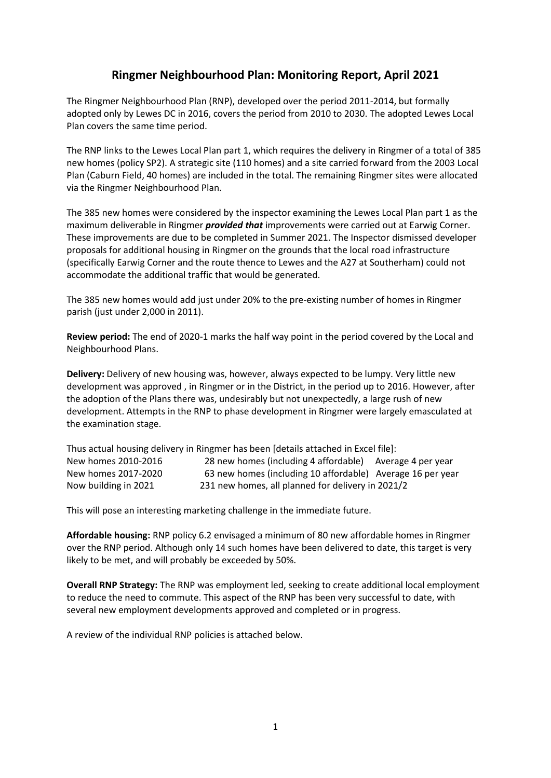# **Ringmer Neighbourhood Plan: Monitoring Report, April 2021**

The Ringmer Neighbourhood Plan (RNP), developed over the period 2011-2014, but formally adopted only by Lewes DC in 2016, covers the period from 2010 to 2030. The adopted Lewes Local Plan covers the same time period.

The RNP links to the Lewes Local Plan part 1, which requires the delivery in Ringmer of a total of 385 new homes (policy SP2). A strategic site (110 homes) and a site carried forward from the 2003 Local Plan (Caburn Field, 40 homes) are included in the total. The remaining Ringmer sites were allocated via the Ringmer Neighbourhood Plan.

The 385 new homes were considered by the inspector examining the Lewes Local Plan part 1 as the maximum deliverable in Ringmer *provided that* improvements were carried out at Earwig Corner. These improvements are due to be completed in Summer 2021. The Inspector dismissed developer proposals for additional housing in Ringmer on the grounds that the local road infrastructure (specifically Earwig Corner and the route thence to Lewes and the A27 at Southerham) could not accommodate the additional traffic that would be generated.

The 385 new homes would add just under 20% to the pre-existing number of homes in Ringmer parish (just under 2,000 in 2011).

**Review period:** The end of 2020-1 marks the half way point in the period covered by the Local and Neighbourhood Plans.

**Delivery:** Delivery of new housing was, however, always expected to be lumpy. Very little new development was approved , in Ringmer or in the District, in the period up to 2016. However, after the adoption of the Plans there was, undesirably but not unexpectedly, a large rush of new development. Attempts in the RNP to phase development in Ringmer were largely emasculated at the examination stage.

Thus actual housing delivery in Ringmer has been [details attached in Excel file]: New homes 2010-2016 28 new homes (including 4 affordable) Average 4 per year New homes 2017-2020 63 new homes (including 10 affordable) Average 16 per year Now building in 2021 231 new homes, all planned for delivery in 2021/2

This will pose an interesting marketing challenge in the immediate future.

**Affordable housing:** RNP policy 6.2 envisaged a minimum of 80 new affordable homes in Ringmer over the RNP period. Although only 14 such homes have been delivered to date, this target is very likely to be met, and will probably be exceeded by 50%.

**Overall RNP Strategy:** The RNP was employment led, seeking to create additional local employment to reduce the need to commute. This aspect of the RNP has been very successful to date, with several new employment developments approved and completed or in progress.

A review of the individual RNP policies is attached below.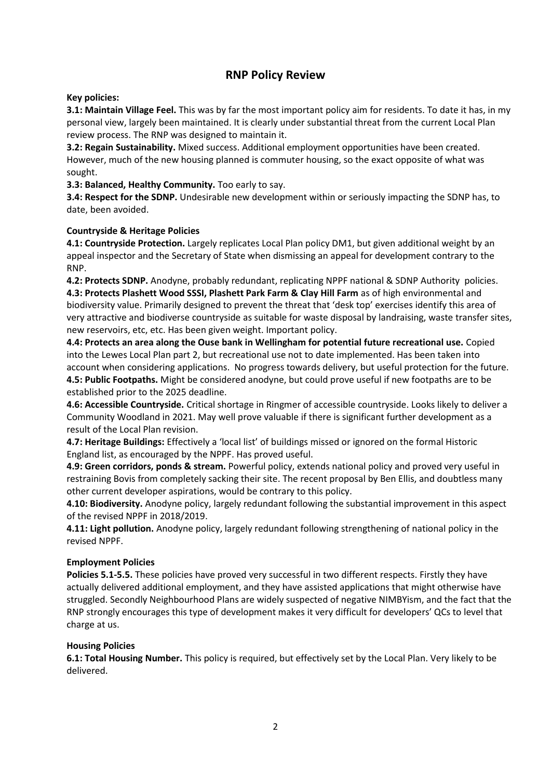# **RNP Policy Review**

### **Key policies:**

**3.1: Maintain Village Feel.** This was by far the most important policy aim for residents. To date it has, in my personal view, largely been maintained. It is clearly under substantial threat from the current Local Plan review process. The RNP was designed to maintain it.

**3.2: Regain Sustainability.** Mixed success. Additional employment opportunities have been created. However, much of the new housing planned is commuter housing, so the exact opposite of what was sought.

**3.3: Balanced, Healthy Community.** Too early to say.

**3.4: Respect for the SDNP.** Undesirable new development within or seriously impacting the SDNP has, to date, been avoided.

### **Countryside & Heritage Policies**

**4.1: Countryside Protection.** Largely replicates Local Plan policy DM1, but given additional weight by an appeal inspector and the Secretary of State when dismissing an appeal for development contrary to the RNP.

**4.2: Protects SDNP.** Anodyne, probably redundant, replicating NPPF national & SDNP Authority policies. **4.3: Protects Plashett Wood SSSI, Plashett Park Farm & Clay Hill Farm** as of high environmental and biodiversity value. Primarily designed to prevent the threat that 'desk top' exercises identify this area of very attractive and biodiverse countryside as suitable for waste disposal by landraising, waste transfer sites, new reservoirs, etc, etc. Has been given weight. Important policy.

**4.4: Protects an area along the Ouse bank in Wellingham for potential future recreational use.** Copied into the Lewes Local Plan part 2, but recreational use not to date implemented. Has been taken into account when considering applications. No progress towards delivery, but useful protection for the future. **4.5: Public Footpaths.** Might be considered anodyne, but could prove useful if new footpaths are to be established prior to the 2025 deadline.

**4.6: Accessible Countryside.** Critical shortage in Ringmer of accessible countryside. Looks likely to deliver a Community Woodland in 2021. May well prove valuable if there is significant further development as a result of the Local Plan revision.

**4.7: Heritage Buildings:** Effectively a 'local list' of buildings missed or ignored on the formal Historic England list, as encouraged by the NPPF. Has proved useful.

**4.9: Green corridors, ponds & stream.** Powerful policy, extends national policy and proved very useful in restraining Bovis from completely sacking their site. The recent proposal by Ben Ellis, and doubtless many other current developer aspirations, would be contrary to this policy.

**4.10: Biodiversity.** Anodyne policy, largely redundant following the substantial improvement in this aspect of the revised NPPF in 2018/2019.

**4.11: Light pollution.** Anodyne policy, largely redundant following strengthening of national policy in the revised NPPF.

#### **Employment Policies**

**Policies 5.1-5.5.** These policies have proved very successful in two different respects. Firstly they have actually delivered additional employment, and they have assisted applications that might otherwise have struggled. Secondly Neighbourhood Plans are widely suspected of negative NIMBYism, and the fact that the RNP strongly encourages this type of development makes it very difficult for developers' QCs to level that charge at us.

#### **Housing Policies**

**6.1: Total Housing Number.** This policy is required, but effectively set by the Local Plan. Very likely to be delivered.